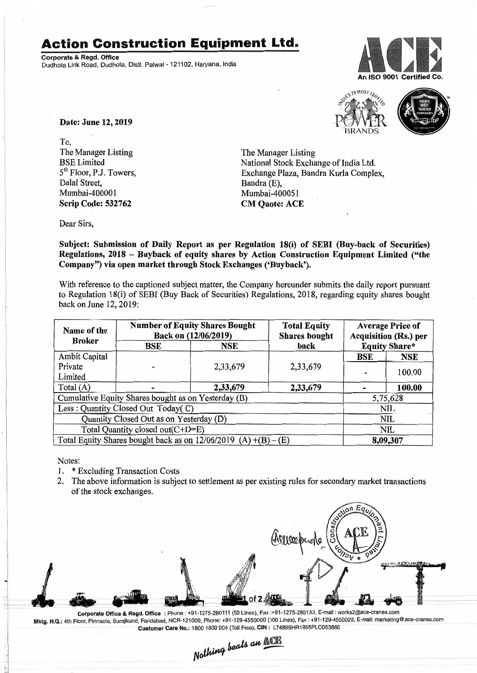## **Action Construction Equipment Ltd.**

Corporate & Regd. Office Dudhola Link Road, Dudhola, Dlstt. Palwal- 121102, Haryana, India





Date: June 12, 2019

To, The Manager Listing BSE Limited 5<sup>th</sup> Floor, P.J. Towers, Dalal Street, Mumbai-400001 Scrip Code: 532762

The Manager Listing National Stock Exchange of India Ltd. Exchange Plaza, Bandra Kurla Complex, Bandra (E). Mumbai-400051 CM Quote: ACE

Dear Sirs,

Subject: Submission of Daily Report as per Regulation 18(i) of SEBI (Buy-back of Securities) Regulations, 2018 - Buyback of equity shares by Action Construction Equipment Limited ("the Company") via open market through Stock Exchanges ('Buyback').

With reference to the captioned subject matter, the Company hereunder submits the daily report pursuant to Regulation 18(i) of SEBI (Buy Back of Securities) Regulations, 2018, regarding equity shares bought back on June 12,2019:

| Name of the<br><b>Broker</b>                                      | <b>Number of Equity Shares Bought</b><br>Back on (12/06/2019) |            | <b>Total Equity</b><br><b>Shares bought</b> | <b>Average Price of</b><br><b>Acquisition (Rs.) per</b> |            |
|-------------------------------------------------------------------|---------------------------------------------------------------|------------|---------------------------------------------|---------------------------------------------------------|------------|
|                                                                   | BSE                                                           | <b>NSE</b> | back                                        | <b>Equity Share*</b>                                    |            |
| Ambit Capital                                                     |                                                               |            |                                             | BSE                                                     | <b>NSE</b> |
| Private                                                           |                                                               | 2,33,679   | 2,33,679                                    |                                                         |            |
| Limited                                                           |                                                               |            |                                             |                                                         | 100.00     |
| Total $(A)$                                                       |                                                               | 2,33,679   | 2,33,679                                    |                                                         | 100.00     |
| Cumulative Equity Shares bought as on Yesterday (B)               |                                                               |            |                                             | 5,75,628                                                |            |
| Less: Quantity Closed Out Today(C)                                |                                                               |            |                                             | NII.                                                    |            |
| Quantity Closed Out as on Yesterday (D)                           |                                                               |            |                                             | NIL                                                     |            |
| Total Quantity closed out(C+D=E)                                  |                                                               |            |                                             | NIL                                                     |            |
| Total Equity Shares bought back as on $12/06/2019$ (A) +(B) – (E) |                                                               |            |                                             | 8,09,307                                                |            |

Notes:

- 1. \* Excluding Transaction Costs
- 2. The above information is subject to settlement as per existing rules for secondary market transactions of the stock exchanges.



Corporate Office & Regd. Office: Phone: +91-1275-280111(50 Lines), Fax:+91-1275-280133, E-mail: works2@ace-cranes.com Mktg. H.Q.: 4th Floor, Pinnacle, Surajkund, Faridabad, NCR-121009, Phone: +91-129-4550000 (100 Lines), Fax: +91-129-4550022,E-mail:marketing@ace-cranes.com

Customer Care No.: 1800 1800 004 (Toll Free), CIN: L74899HR1995PLC053860<br>Mothing beats an **ACR**